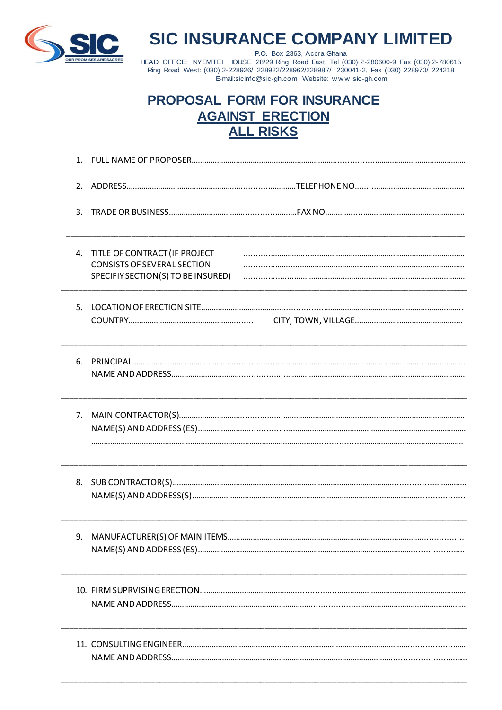

# **SIC INSURANCE COMPANY LIMITED**

P.O. Box 2363, Accra Ghana HEAD OFFICE: NYEMITEI HOUSE 28/29 Ring Road East. Tel (030) 2-280600-9 Fax (030) 2-780615<br>Ring Road West: (030) 2-228926/ 228922/228962/228987/ 230041-2, Fax (030) 228970/ 224218 E-mail:sicinfo@sic-gh.com Website: www.sic-gh.com

# **PROPOSAL FORM FOR INSURANCE AGAINST ERECTION ALL RISKS**

| 1. |                                                                                                           |  |
|----|-----------------------------------------------------------------------------------------------------------|--|
| 2. |                                                                                                           |  |
| 3. |                                                                                                           |  |
| 4. | TITLE OF CONTRACT (IF PROJECT<br><b>CONSISTS OF SEVERAL SECTION</b><br>SPECIFIY SECTION(S) TO BE INSURED) |  |
| 5. |                                                                                                           |  |
| 6. |                                                                                                           |  |
| 7. |                                                                                                           |  |
| 8. |                                                                                                           |  |
| 9. |                                                                                                           |  |
|    |                                                                                                           |  |
|    |                                                                                                           |  |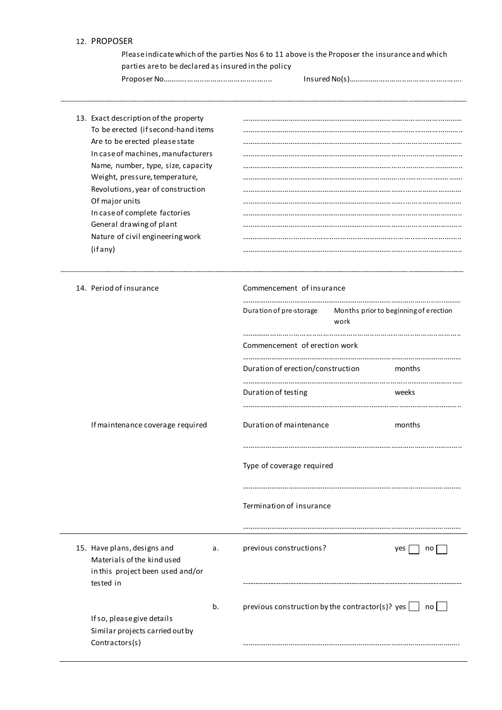#### 12. PROPOSER

Please indicate which of the parties Nos 6 to 11 above is the Proposer the insurance and which parties are to be declared as insured in the policy

\_\_\_\_\_\_\_\_\_\_\_\_\_\_\_\_\_\_\_\_\_\_\_\_\_\_\_\_\_\_\_\_\_\_\_\_\_\_\_\_\_\_\_\_\_\_\_\_\_\_\_\_\_\_\_\_\_\_\_\_\_\_\_\_\_\_\_\_\_\_\_\_\_\_\_\_\_\_\_\_\_\_\_\_\_\_\_\_\_\_\_\_\_\_\_\_

\_\_\_\_\_\_\_\_\_\_\_\_\_\_\_\_\_\_\_\_\_\_\_\_\_\_\_\_\_\_\_\_\_\_\_\_\_\_\_\_\_\_\_\_\_\_\_\_\_\_\_\_\_\_\_\_\_\_\_\_\_\_\_\_\_\_\_\_\_\_\_\_\_\_\_\_\_\_\_\_\_\_ \_\_\_\_\_\_\_\_\_\_\_\_\_

Proposer No.................................................... Insured No(s)......................................................

13. Exact description of the property ………………………………………………………………………………..............……… To be erected (if second-hand items ………………………………………………………………………………...............…….. Are to be erected please state …………………………………………………………………………..............…………… In case of machines, manufacturers ………………………………………………………………………...............…………….. Name, number, type, size, capacity ………………………………………………………………………...............…………….. Weight, pressure, temperature, with the manufacture contract in the state of the manufacture contract of the manufacture contract of the manufacture of the manufacture contract of the manufacture of the manufacture of the Revolutions, year of construction …………………………………………………………………………...........……………… Of major units …………………………………………………………………………...........……………… In case of complete factories …………………………………………………………………………............…………….. General drawing of plant …………………………………………………………………………............…………….. Nature of civil engineering work ........................................................................................................ (if any) …………………………………………………………………………............……………..

|  | 14. Period of insurance                                                                                    |    | Commencement of insurance                                        |        |                                       |  |  |
|--|------------------------------------------------------------------------------------------------------------|----|------------------------------------------------------------------|--------|---------------------------------------|--|--|
|  |                                                                                                            |    | Duration of pre-storage<br>work                                  |        | Months prior to beginning of erection |  |  |
|  |                                                                                                            |    | Commencement of erection work                                    |        |                                       |  |  |
|  |                                                                                                            |    | Duration of erection/construction                                | months |                                       |  |  |
|  |                                                                                                            |    | Duration of testing                                              | weeks  |                                       |  |  |
|  | If maintenance coverage required                                                                           |    | Duration of maintenance                                          |        | months                                |  |  |
|  |                                                                                                            |    | Type of coverage required                                        |        |                                       |  |  |
|  |                                                                                                            |    | Termination of insurance                                         |        |                                       |  |  |
|  |                                                                                                            |    |                                                                  |        |                                       |  |  |
|  | 15. Have plans, designs and<br>Materials of the kind used<br>in this project been used and/or<br>tested in | a. | previous constructions?                                          |        | yes  <br>no                           |  |  |
|  |                                                                                                            |    |                                                                  |        |                                       |  |  |
|  | If so, please give details                                                                                 | b. | previous construction by the contractor(s)? yes $\Box$ no $\Box$ |        |                                       |  |  |
|  | Similar projects carried out by<br>Contractors(s)                                                          |    |                                                                  |        |                                       |  |  |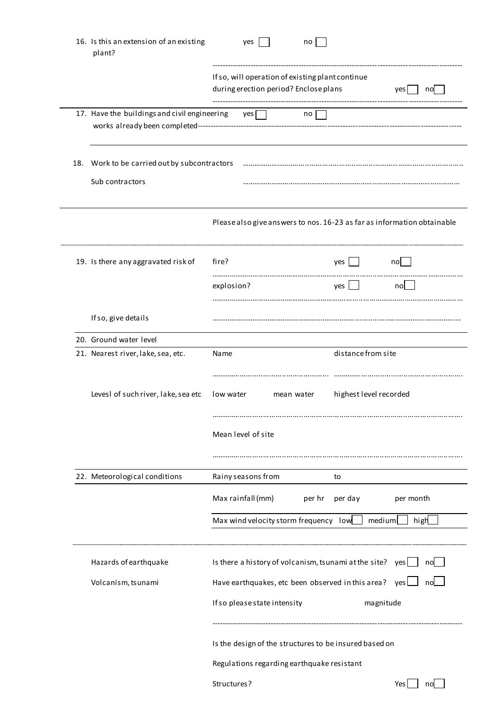|     | 16. Is this an extension of an existing<br>plant?           |                                                         | yes                          |            | no                                                                                                             |                        |           |                                                                         |
|-----|-------------------------------------------------------------|---------------------------------------------------------|------------------------------|------------|----------------------------------------------------------------------------------------------------------------|------------------------|-----------|-------------------------------------------------------------------------|
|     |                                                             |                                                         |                              |            | If so, will operation of existing plant continue<br>during erection period? Enclose plans                      |                        |           | yes<br>no                                                               |
|     | 17. Have the buildings and civil engineering                |                                                         | $\gamma$ es $\Box$           |            | no                                                                                                             |                        |           |                                                                         |
| 18. | Work to be carried out by subcontractors<br>Sub contractors |                                                         |                              |            |                                                                                                                |                        |           |                                                                         |
|     |                                                             |                                                         |                              |            |                                                                                                                |                        |           | Please also give answers to nos. 16-23 as far as information obtainable |
|     | 19. Is there any aggravated risk of                         | fire?<br>explosion?                                     |                              |            |                                                                                                                | yes<br>yes             |           | no<br>no                                                                |
|     | If so, give details                                         |                                                         |                              |            |                                                                                                                |                        |           |                                                                         |
|     | 20. Ground water level                                      |                                                         |                              |            |                                                                                                                |                        |           |                                                                         |
|     | 21. Nearest river, lake, sea, etc.                          | Name                                                    |                              |            |                                                                                                                | distance from site     |           |                                                                         |
|     | Levesl of such river, lake, sea etc                         | low water                                               | Mean level of site           | mean water |                                                                                                                | highest level recorded |           |                                                                         |
|     |                                                             |                                                         |                              |            |                                                                                                                |                        |           |                                                                         |
|     | 22. Meteorological conditions                               |                                                         | Rainy seasons from           |            |                                                                                                                | to                     |           |                                                                         |
|     |                                                             | Max rainfall (mm)<br>per hr<br>per day<br>per month     |                              |            |                                                                                                                |                        |           |                                                                         |
|     |                                                             | Max wind velocity storm frequency low<br>medium<br>high |                              |            |                                                                                                                |                        |           |                                                                         |
|     | Hazards of earthquake<br>Volcanism, tsunami                 |                                                         |                              |            | Is there a history of volcanism, tsunami at the site?<br>Have earthquakes, etc been observed in this area? yes |                        |           | yes [<br>no<br>no                                                       |
|     |                                                             |                                                         | If so please state intensity |            | Is the design of the structures to be insured based on<br>Regulations regarding earthquake resistant           |                        | magnitude |                                                                         |
|     |                                                             | Structures?                                             |                              |            |                                                                                                                |                        |           | Yes<br>no                                                               |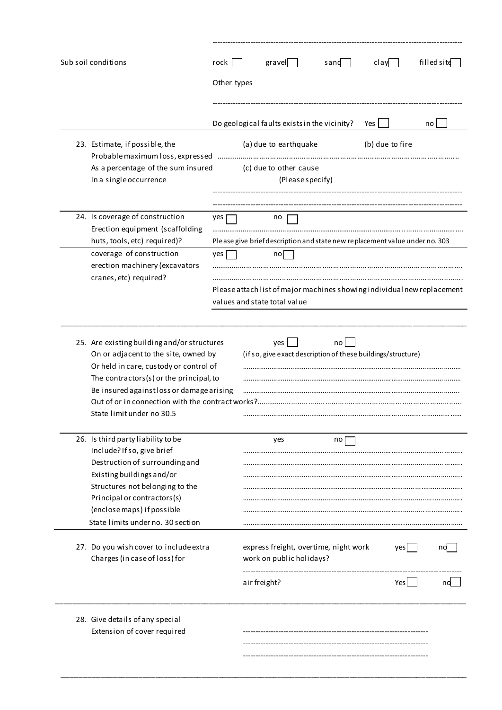| Sub soil conditions                                                                                                                                                                                                                                | rock        | gravel                                                                                                  | sand | clay            | filled site |
|----------------------------------------------------------------------------------------------------------------------------------------------------------------------------------------------------------------------------------------------------|-------------|---------------------------------------------------------------------------------------------------------|------|-----------------|-------------|
|                                                                                                                                                                                                                                                    | Other types |                                                                                                         |      |                 |             |
|                                                                                                                                                                                                                                                    |             |                                                                                                         |      |                 |             |
|                                                                                                                                                                                                                                                    |             | Do geological faults exists in the vicinity?                                                            |      | Yes             | no          |
| 23. Estimate, if possible, the                                                                                                                                                                                                                     |             | (a) due to earthquake                                                                                   |      | (b) due to fire |             |
| As a percentage of the sum insured<br>In a single occurrence                                                                                                                                                                                       |             | (c) due to other cause<br>(Please specify)                                                              |      |                 |             |
|                                                                                                                                                                                                                                                    |             |                                                                                                         |      |                 |             |
| 24. Is coverage of construction<br>Erection equipment (scaffolding                                                                                                                                                                                 | yes         | no                                                                                                      |      |                 |             |
| huts, tools, etc) required)?                                                                                                                                                                                                                       |             | Please give brief description and state new replacement value under no. 303                             |      |                 |             |
| coverage of construction<br>erection machinery (excavators                                                                                                                                                                                         | yes         | no <sub>l</sub>                                                                                         |      |                 |             |
| cranes, etc) required?                                                                                                                                                                                                                             |             | Please attach list of major machines showing individual new replacement<br>values and state total value |      |                 |             |
|                                                                                                                                                                                                                                                    |             |                                                                                                         |      |                 |             |
| 25. Are existing building and/or structures<br>On or adjacent to the site, owned by<br>Or held in care, custody or control of<br>The contractors(s) or the principal, to<br>Be insured against loss or damage arising<br>State limit under no 30.5 |             | yes<br>(if so, give exact description of these buildings/structure)                                     | no   |                 |             |
| 26. Is third party liability to be<br>Include? If so, give brief                                                                                                                                                                                   |             | yes                                                                                                     | no   |                 |             |
| Destruction of surrounding and                                                                                                                                                                                                                     |             |                                                                                                         |      |                 |             |
| Existing buildings and/or                                                                                                                                                                                                                          |             |                                                                                                         |      |                 |             |
| Structures not belonging to the<br>Principal or contractors(s)                                                                                                                                                                                     |             |                                                                                                         |      |                 |             |
| (enclose maps) if possible                                                                                                                                                                                                                         |             |                                                                                                         |      |                 |             |
| State limits under no. 30 section                                                                                                                                                                                                                  |             |                                                                                                         |      |                 |             |
| 27. Do you wish cover to include extra<br>Charges (in case of loss) for                                                                                                                                                                            |             | express freight, overtime, night work<br>work on public holidays?                                       |      | yes             | na          |
|                                                                                                                                                                                                                                                    |             | air freight?                                                                                            |      | Yesl            |             |
| 28. Give details of any special<br>Extension of cover required                                                                                                                                                                                     |             |                                                                                                         |      |                 |             |
|                                                                                                                                                                                                                                                    |             |                                                                                                         |      |                 |             |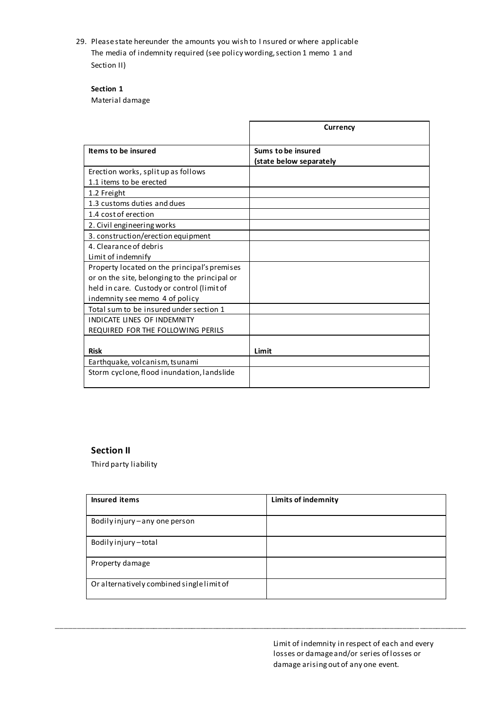29. Please state hereunder the amounts you wish to I nsured or where applicable The media of indemnity required (see policy wording, section 1 memo 1 and Section II)

## **Section 1**

Material damage

|                                               | <b>Currency</b>                               |
|-----------------------------------------------|-----------------------------------------------|
| Items to be insured                           | Sums to be insured<br>(state below separately |
| Erection works, split up as follows           |                                               |
| 1.1 items to be erected                       |                                               |
| 1.2 Freight                                   |                                               |
| 1.3 customs duties and dues                   |                                               |
| 1.4 cost of erection                          |                                               |
| 2. Civil engineering works                    |                                               |
| 3. construction/erection equipment            |                                               |
| 4. Clearance of debris                        |                                               |
| Limit of indemnify                            |                                               |
| Property located on the principal's premises  |                                               |
| or on the site, belonging to the principal or |                                               |
| held in care. Custody or control (limit of    |                                               |
| indemnity see memo 4 of policy                |                                               |
| Total sum to be insured under section 1       |                                               |
| <b>INDICATE LINES OF INDEMNITY</b>            |                                               |
| REQUIRED FOR THE FOLLOWING PERILS             |                                               |
| <b>Risk</b>                                   | Limit                                         |
| Earthquake, volcanism, tsunami                |                                               |
| Storm cyclone, flood inundation, landslide    |                                               |

### **Section II**

Third party liability

| Insured items                             | <b>Limits of indemnity</b> |
|-------------------------------------------|----------------------------|
|                                           |                            |
| Bodily injury - any one person            |                            |
| Bodily injury-total                       |                            |
| Property damage                           |                            |
| Or alternatively combined single limit of |                            |

\_\_\_\_\_\_\_\_\_\_\_\_\_\_\_\_\_\_\_\_\_\_\_\_\_\_\_\_\_\_\_\_\_\_\_\_\_\_\_\_\_\_\_\_\_\_\_\_\_\_\_\_\_\_\_\_\_\_\_\_\_\_\_\_\_\_\_\_\_\_\_\_\_\_\_\_\_\_\_\_\_\_\_\_\_\_\_\_\_\_\_\_\_\_\_\_\_

Limit of indemnity in respect of each and every losses or damage and/or series of losses or damage arising out of any one event.